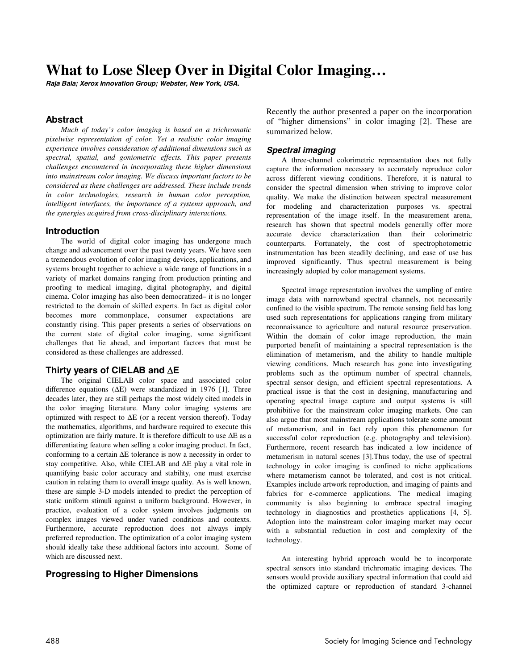# **What to Lose Sleep Over in Digital Color Imaging…**

**Raja Bala; Xerox Innovation Group; Webster, New York, USA.** 

# **Abstract**

*Much of today's color imaging is based on a trichromatic pixelwise representation of color. Yet a realistic color imaging experience involves consideration of additional dimensions such as spectral, spatial, and goniometric effects. This paper presents challenges encountered in incorporating these higher dimensions into mainstream color imaging. We discuss important factors to be considered as these challenges are addressed. These include trends in color technologies, research in human color perception, intelligent interfaces, the importance of a systems approach, and the synergies acquired from cross-disciplinary interactions.* 

#### **Introduction**

The world of digital color imaging has undergone much change and advancement over the past twenty years. We have seen a tremendous evolution of color imaging devices, applications, and systems brought together to achieve a wide range of functions in a variety of market domains ranging from production printing and proofing to medical imaging, digital photography, and digital cinema. Color imaging has also been democratized– it is no longer restricted to the domain of skilled experts. In fact as digital color becomes more commonplace, consumer expectations are constantly rising. This paper presents a series of observations on the current state of digital color imaging, some significant challenges that lie ahead, and important factors that must be considered as these challenges are addressed.

## **Thirty years of CIELAB and** ∆**E**

The original CIELAB color space and associated color difference equations (∆E) were standardized in 1976 [1]. Three decades later, they are still perhaps the most widely cited models in the color imaging literature. Many color imaging systems are optimized with respect to ∆E (or a recent version thereof). Today the mathematics, algorithms, and hardware required to execute this optimization are fairly mature. It is therefore difficult to use ∆E as a differentiating feature when selling a color imaging product. In fact, conforming to a certain ∆E tolerance is now a necessity in order to stay competitive. Also, while CIELAB and ∆E play a vital role in quantifying basic color accuracy and stability, one must exercise caution in relating them to overall image quality. As is well known, these are simple 3-D models intended to predict the perception of static uniform stimuli against a uniform background. However, in practice, evaluation of a color system involves judgments on complex images viewed under varied conditions and contexts. Furthermore, accurate reproduction does not always imply preferred reproduction. The optimization of a color imaging system should ideally take these additional factors into account. Some of which are discussed next.

## **Progressing to Higher Dimensions**

Recently the author presented a paper on the incorporation of "higher dimensions" in color imaging [2]. These are summarized below.

## **Spectral imaging**

A three-channel colorimetric representation does not fully capture the information necessary to accurately reproduce color across different viewing conditions. Therefore, it is natural to consider the spectral dimension when striving to improve color quality. We make the distinction between spectral measurement for modeling and characterization purposes vs. spectral representation of the image itself. In the measurement arena, research has shown that spectral models generally offer more accurate device characterization than their colorimetric counterparts. Fortunately, the cost of spectrophotometric instrumentation has been steadily declining, and ease of use has improved significantly. Thus spectral measurement is being increasingly adopted by color management systems.

Spectral image representation involves the sampling of entire image data with narrowband spectral channels, not necessarily confined to the visible spectrum. The remote sensing field has long used such representations for applications ranging from military reconnaissance to agriculture and natural resource preservation. Within the domain of color image reproduction, the main purported benefit of maintaining a spectral representation is the elimination of metamerism, and the ability to handle multiple viewing conditions. Much research has gone into investigating problems such as the optimum number of spectral channels, spectral sensor design, and efficient spectral representations. A practical issue is that the cost in designing, manufacturing and operating spectral image capture and output systems is still prohibitive for the mainstream color imaging markets. One can also argue that most mainstream applications tolerate some amount of metamerism, and in fact rely upon this phenomenon for successful color reproduction (e.g. photography and television). Furthermore, recent research has indicated a low incidence of metamerism in natural scenes [3].Thus today, the use of spectral technology in color imaging is confined to niche applications where metamerism cannot be tolerated, and cost is not critical. Examples include artwork reproduction, and imaging of paints and fabrics for e-commerce applications. The medical imaging community is also beginning to embrace spectral imaging technology in diagnostics and prosthetics applications [4, 5]. Adoption into the mainstream color imaging market may occur with a substantial reduction in cost and complexity of the technology.

An interesting hybrid approach would be to incorporate spectral sensors into standard trichromatic imaging devices. The sensors would provide auxiliary spectral information that could aid the optimized capture or reproduction of standard 3-channel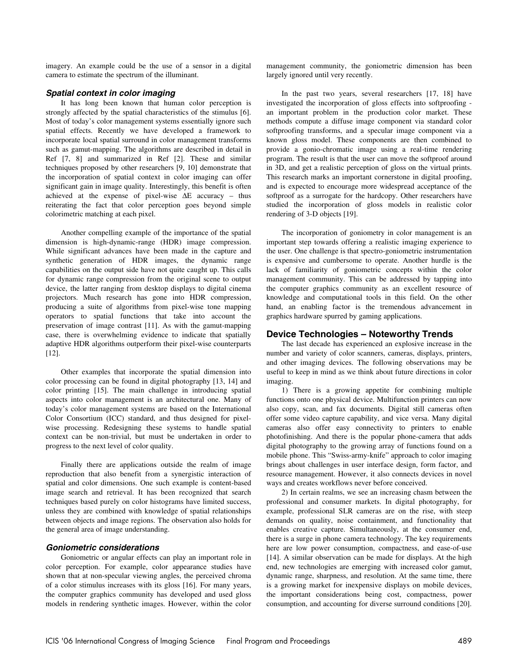imagery. An example could be the use of a sensor in a digital camera to estimate the spectrum of the illuminant.

## **Spatial context in color imaging**

It has long been known that human color perception is strongly affected by the spatial characteristics of the stimulus [6]. Most of today's color management systems essentially ignore such spatial effects. Recently we have developed a framework to incorporate local spatial surround in color management transforms such as gamut-mapping. The algorithms are described in detail in Ref [7, 8] and summarized in Ref [2]. These and similar techniques proposed by other researchers [9, 10] demonstrate that the incorporation of spatial context in color imaging can offer significant gain in image quality. Interestingly, this benefit is often achieved at the expense of pixel-wise ∆E accuracy – thus reiterating the fact that color perception goes beyond simple colorimetric matching at each pixel.

Another compelling example of the importance of the spatial dimension is high-dynamic-range (HDR) image compression. While significant advances have been made in the capture and synthetic generation of HDR images, the dynamic range capabilities on the output side have not quite caught up. This calls for dynamic range compression from the original scene to output device, the latter ranging from desktop displays to digital cinema projectors. Much research has gone into HDR compression, producing a suite of algorithms from pixel-wise tone mapping operators to spatial functions that take into account the preservation of image contrast [11]. As with the gamut-mapping case, there is overwhelming evidence to indicate that spatially adaptive HDR algorithms outperform their pixel-wise counterparts [12].

Other examples that incorporate the spatial dimension into color processing can be found in digital photography [13, 14] and color printing [15]. The main challenge in introducing spatial aspects into color management is an architectural one. Many of today's color management systems are based on the International Color Consortium (ICC) standard, and thus designed for pixelwise processing. Redesigning these systems to handle spatial context can be non-trivial, but must be undertaken in order to progress to the next level of color quality.

Finally there are applications outside the realm of image reproduction that also benefit from a synergistic interaction of spatial and color dimensions. One such example is content-based image search and retrieval. It has been recognized that search techniques based purely on color histograms have limited success, unless they are combined with knowledge of spatial relationships between objects and image regions. The observation also holds for the general area of image understanding.

#### **Goniometric considerations**

Goniometric or angular effects can play an important role in color perception. For example, color appearance studies have shown that at non-specular viewing angles, the perceived chroma of a color stimulus increases with its gloss [16]. For many years, the computer graphics community has developed and used gloss models in rendering synthetic images. However, within the color management community, the goniometric dimension has been largely ignored until very recently.

In the past two years, several researchers [17, 18] have investigated the incorporation of gloss effects into softproofing an important problem in the production color market. These methods compute a diffuse image component via standard color softproofing transforms, and a specular image component via a known gloss model. These components are then combined to provide a gonio-chromatic image using a real-time rendering program. The result is that the user can move the softproof around in 3D, and get a realistic perception of gloss on the virtual prints. This research marks an important cornerstone in digital proofing, and is expected to encourage more widespread acceptance of the softproof as a surrogate for the hardcopy. Other researchers have studied the incorporation of gloss models in realistic color rendering of 3-D objects [19].

The incorporation of goniometry in color management is an important step towards offering a realistic imaging experience to the user. One challenge is that spectro-goniometric instrumentation is expensive and cumbersome to operate. Another hurdle is the lack of familiarity of goniometric concepts within the color management community. This can be addressed by tapping into the computer graphics community as an excellent resource of knowledge and computational tools in this field. On the other hand, an enabling factor is the tremendous advancement in graphics hardware spurred by gaming applications.

#### **Device Technologies – Noteworthy Trends**

The last decade has experienced an explosive increase in the number and variety of color scanners, cameras, displays, printers, and other imaging devices. The following observations may be useful to keep in mind as we think about future directions in color imaging.

1) There is a growing appetite for combining multiple functions onto one physical device. Multifunction printers can now also copy, scan, and fax documents. Digital still cameras often offer some video capture capability, and vice versa. Many digital cameras also offer easy connectivity to printers to enable photofinishing. And there is the popular phone-camera that adds digital photography to the growing array of functions found on a mobile phone. This "Swiss-army-knife" approach to color imaging brings about challenges in user interface design, form factor, and resource management. However, it also connects devices in novel ways and creates workflows never before conceived.

2) In certain realms, we see an increasing chasm between the professional and consumer markets. In digital photography, for example, professional SLR cameras are on the rise, with steep demands on quality, noise containment, and functionality that enables creative capture. Simultaneously, at the consumer end, there is a surge in phone camera technology. The key requirements here are low power consumption, compactness, and ease-of-use [14]. A similar observation can be made for displays. At the high end, new technologies are emerging with increased color gamut, dynamic range, sharpness, and resolution. At the same time, there is a growing market for inexpensive displays on mobile devices, the important considerations being cost, compactness, power consumption, and accounting for diverse surround conditions [20].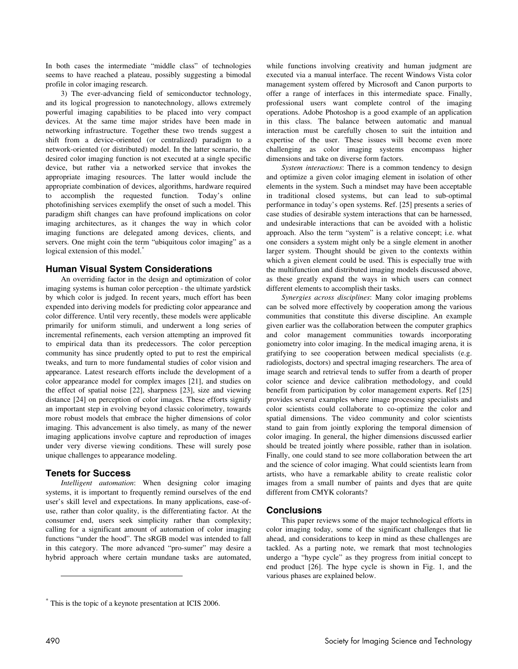In both cases the intermediate "middle class" of technologies seems to have reached a plateau, possibly suggesting a bimodal profile in color imaging research.

3) The ever-advancing field of semiconductor technology, and its logical progression to nanotechnology, allows extremely powerful imaging capabilities to be placed into very compact devices. At the same time major strides have been made in networking infrastructure. Together these two trends suggest a shift from a device-oriented (or centralized) paradigm to a network-oriented (or distributed) model. In the latter scenario, the desired color imaging function is not executed at a single specific device, but rather via a networked service that invokes the appropriate imaging resources. The latter would include the appropriate combination of devices, algorithms, hardware required to accomplish the requested function. Today's online photofinishing services exemplify the onset of such a model. This paradigm shift changes can have profound implications on color imaging architectures, as it changes the way in which color imaging functions are delegated among devices, clients, and servers. One might coin the term "ubiquitous color imaging" as a logical extension of this model.<sup>\*</sup>

# **Human Visual System Considerations**

An overriding factor in the design and optimization of color imaging systems is human color perception - the ultimate yardstick by which color is judged. In recent years, much effort has been expended into deriving models for predicting color appearance and color difference. Until very recently, these models were applicable primarily for uniform stimuli, and underwent a long series of incremental refinements, each version attempting an improved fit to empirical data than its predecessors. The color perception community has since prudently opted to put to rest the empirical tweaks, and turn to more fundamental studies of color vision and appearance. Latest research efforts include the development of a color appearance model for complex images [21], and studies on the effect of spatial noise [22], sharpness [23], size and viewing distance [24] on perception of color images. These efforts signify an important step in evolving beyond classic colorimetry, towards more robust models that embrace the higher dimensions of color imaging. This advancement is also timely, as many of the newer imaging applications involve capture and reproduction of images under very diverse viewing conditions. These will surely pose unique challenges to appearance modeling.

# **Tenets for Success**

*Intelligent automation*: When designing color imaging systems, it is important to frequently remind ourselves of the end user's skill level and expectations. In many applications, ease-ofuse, rather than color quality, is the differentiating factor. At the consumer end, users seek simplicity rather than complexity; calling for a significant amount of automation of color imaging functions "under the hood". The sRGB model was intended to fall in this category. The more advanced "pro-sumer" may desire a hybrid approach where certain mundane tasks are automated, while functions involving creativity and human judgment are executed via a manual interface. The recent Windows Vista color management system offered by Microsoft and Canon purports to offer a range of interfaces in this intermediate space. Finally, professional users want complete control of the imaging operations. Adobe Photoshop is a good example of an application in this class. The balance between automatic and manual interaction must be carefully chosen to suit the intuition and expertise of the user. These issues will become even more challenging as color imaging systems encompass higher dimensions and take on diverse form factors.

*System interactions*: There is a common tendency to design and optimize a given color imaging element in isolation of other elements in the system. Such a mindset may have been acceptable in traditional closed systems, but can lead to sub-optimal performance in today's open systems. Ref. [25] presents a series of case studies of desirable system interactions that can be harnessed, and undesirable interactions that can be avoided with a holistic approach. Also the term "system" is a relative concept; i.e. what one considers a system might only be a single element in another larger system. Thought should be given to the contexts within which a given element could be used. This is especially true with the multifunction and distributed imaging models discussed above, as these greatly expand the ways in which users can connect different elements to accomplish their tasks.

*Synergies across disciplines*: Many color imaging problems can be solved more effectively by cooperation among the various communities that constitute this diverse discipline. An example given earlier was the collaboration between the computer graphics and color management communities towards incorporating goniometry into color imaging. In the medical imaging arena, it is gratifying to see cooperation between medical specialists (e.g. radiologists, doctors) and spectral imaging researchers. The area of image search and retrieval tends to suffer from a dearth of proper color science and device calibration methodology, and could benefit from participation by color management experts. Ref [25] provides several examples where image processing specialists and color scientists could collaborate to co-optimize the color and spatial dimensions. The video community and color scientists stand to gain from jointly exploring the temporal dimension of color imaging. In general, the higher dimensions discussed earlier should be treated jointly where possible, rather than in isolation. Finally, one could stand to see more collaboration between the art and the science of color imaging. What could scientists learn from artists, who have a remarkable ability to create realistic color images from a small number of paints and dyes that are quite different from CMYK colorants?

# **Conclusions**

This paper reviews some of the major technological efforts in color imaging today, some of the significant challenges that lie ahead, and considerations to keep in mind as these challenges are tackled. As a parting note, we remark that most technologies undergo a "hype cycle" as they progress from initial concept to end product [26]. The hype cycle is shown in Fig. 1, and the various phases are explained below.

 $\overline{a}$ 

<sup>\*</sup> This is the topic of a keynote presentation at ICIS 2006.